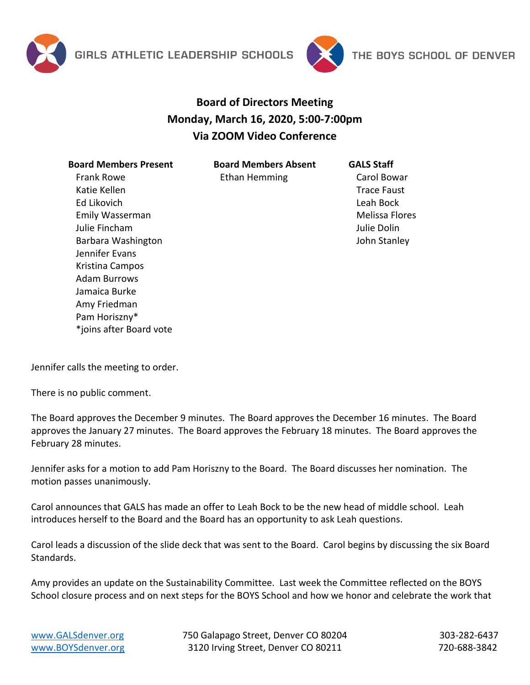



## **Board of Directors Meeting Monday, March 16, 2020, 5:00-7:00pm Via ZOOM Video Conference**

**Board Members Present** Frank Rowe Katie Kellen Ed Likovich Emily Wasserman Julie Fincham Barbara Washington Jennifer Evans Kristina Campos Adam Burrows Jamaica Burke Amy Friedman Pam Horiszny\* \*joins after Board vote

**Board Members Absent** Ethan Hemming

**GALS Staff** Carol Bowar Trace Faust Leah Bock Melissa Flores Julie Dolin John Stanley

Jennifer calls the meeting to order.

There is no public comment.

The Board approves the December 9 minutes. The Board approves the December 16 minutes. The Board approves the January 27 minutes. The Board approves the February 18 minutes. The Board approves the February 28 minutes.

Jennifer asks for a motion to add Pam Horiszny to the Board. The Board discusses her nomination. The motion passes unanimously.

Carol announces that GALS has made an offer to Leah Bock to be the new head of middle school. Leah introduces herself to the Board and the Board has an opportunity to ask Leah questions.

Carol leads a discussion of the slide deck that was sent to the Board. Carol begins by discussing the six Board Standards.

Amy provides an update on the Sustainability Committee. Last week the Committee reflected on the BOYS School closure process and on next steps for the BOYS School and how we honor and celebrate the work that

[www.GALSdenver.org](http://www.galsdenver.org/) **750 Galapago Street, Denver CO 80204** 303-282-6437 [www.BOYSdenver.org](http://www.boysdenver.org/) 3120 Irving Street, Denver CO 80211 720-688-3842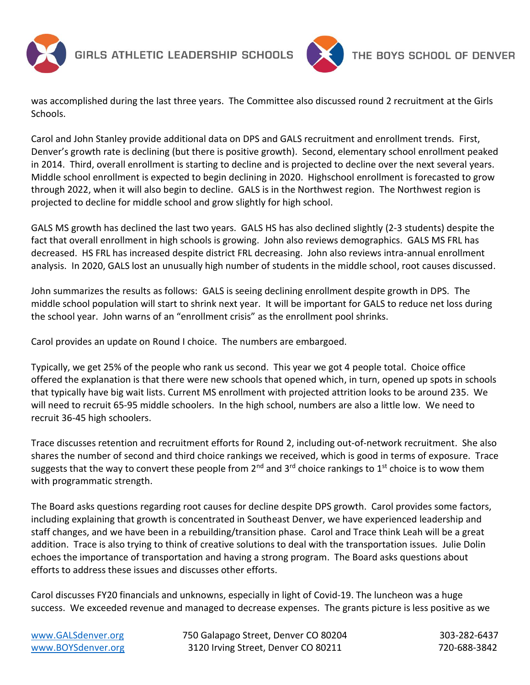

GIRLS ATHLETIC LEADERSHIP SCHOOLS



was accomplished during the last three years. The Committee also discussed round 2 recruitment at the Girls Schools.

Carol and John Stanley provide additional data on DPS and GALS recruitment and enrollment trends. First, Denver's growth rate is declining (but there is positive growth). Second, elementary school enrollment peaked in 2014. Third, overall enrollment is starting to decline and is projected to decline over the next several years. Middle school enrollment is expected to begin declining in 2020. Highschool enrollment is forecasted to grow through 2022, when it will also begin to decline. GALS is in the Northwest region. The Northwest region is projected to decline for middle school and grow slightly for high school.

GALS MS growth has declined the last two years. GALS HS has also declined slightly (2-3 students) despite the fact that overall enrollment in high schools is growing. John also reviews demographics. GALS MS FRL has decreased. HS FRL has increased despite district FRL decreasing. John also reviews intra-annual enrollment analysis. In 2020, GALS lost an unusually high number of students in the middle school, root causes discussed.

John summarizes the results as follows: GALS is seeing declining enrollment despite growth in DPS. The middle school population will start to shrink next year. It will be important for GALS to reduce net loss during the school year. John warns of an "enrollment crisis" as the enrollment pool shrinks.

Carol provides an update on Round I choice. The numbers are embargoed.

Typically, we get 25% of the people who rank us second. This year we got 4 people total. Choice office offered the explanation is that there were new schools that opened which, in turn, opened up spots in schools that typically have big wait lists. Current MS enrollment with projected attrition looks to be around 235. We will need to recruit 65-95 middle schoolers. In the high school, numbers are also a little low. We need to recruit 36-45 high schoolers.

Trace discusses retention and recruitment efforts for Round 2, including out-of-network recruitment. She also shares the number of second and third choice rankings we received, which is good in terms of exposure. Trace suggests that the way to convert these people from  $2^{nd}$  and  $3^{rd}$  choice rankings to  $1^{st}$  choice is to wow them with programmatic strength.

The Board asks questions regarding root causes for decline despite DPS growth. Carol provides some factors, including explaining that growth is concentrated in Southeast Denver, we have experienced leadership and staff changes, and we have been in a rebuilding/transition phase. Carol and Trace think Leah will be a great addition. Trace is also trying to think of creative solutions to deal with the transportation issues. Julie Dolin echoes the importance of transportation and having a strong program. The Board asks questions about efforts to address these issues and discusses other efforts.

Carol discusses FY20 financials and unknowns, especially in light of Covid-19. The luncheon was a huge success. We exceeded revenue and managed to decrease expenses. The grants picture is less positive as we

[www.GALSdenver.org](http://www.galsdenver.org/) **750 Galapago Street, Denver CO 80204** 303-282-6437 [www.BOYSdenver.org](http://www.boysdenver.org/) 3120 Irving Street, Denver CO 80211 720-688-3842